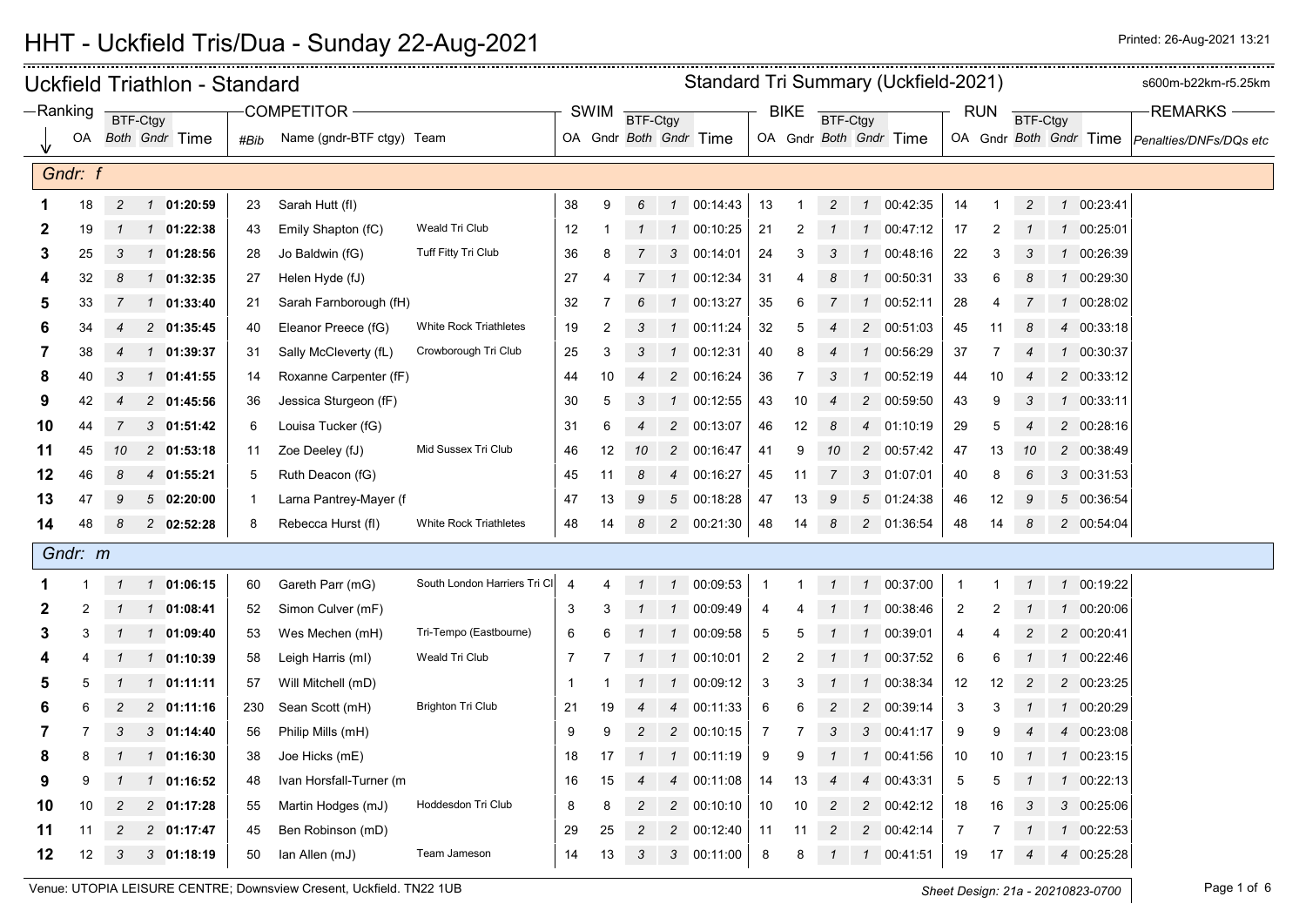|    |            |                |          | Uckfield Triathlon - Standard |      |                           | Standard Tri Summary (Uckfield-2021) |                |             |                |                |                        |                |             |                 |                  |                        | s600m-b22km-r5.25km |                |                 |               |            |                                               |
|----|------------|----------------|----------|-------------------------------|------|---------------------------|--------------------------------------|----------------|-------------|----------------|----------------|------------------------|----------------|-------------|-----------------|------------------|------------------------|---------------------|----------------|-----------------|---------------|------------|-----------------------------------------------|
|    | $-Ranking$ |                | BTF-Ctgy |                               |      | <b>COMPETITOR</b>         |                                      |                | <b>SWIM</b> | BTF-Ctgy       |                |                        |                | <b>BIKE</b> | <b>BTF-Ctgy</b> |                  |                        |                     | <b>RUN</b>     | <b>BTF-Ctgy</b> |               |            | <b>REMARKS</b>                                |
|    | OA         |                |          | Both Gndr Time                | #Bib | Name (gndr-BTF ctgy) Team |                                      |                |             |                |                | OA Gndr Both Gndr Time |                |             |                 |                  | OA Gndr Both Gndr Time |                     |                |                 |               |            | OA Gndr Both Gndr Time Penalties/DNFs/DQs etc |
|    |            |                |          |                               |      |                           |                                      |                |             |                |                |                        |                |             |                 |                  |                        |                     |                |                 |               |            |                                               |
|    | Gndr: f    |                |          |                               |      |                           |                                      |                |             |                |                |                        |                |             |                 |                  |                        |                     |                |                 |               |            |                                               |
|    | 18         | $\overline{c}$ |          | 1 01:20:59                    | 23   | Sarah Hutt (fl)           |                                      | 38             | 9           | 6              |                | $1 \quad 00:14:43$     | 13             | -1          | $\overline{c}$  |                  | 1 00:42:35             | 14                  | 1              | $\overline{c}$  |               | 1 00:23:41 |                                               |
| 2  | 19         | $\mathbf{1}$   |          | 1 01:22:38                    | 43   | Emily Shapton (fC)        | Weald Tri Club                       | 12             | -1          |                | $\mathcal{I}$  | 00:10:25               | 21             | 2           |                 | $\mathcal I$     | 00:47:12               | 17                  | $\overline{2}$ |                 |               | 1 00:25:01 |                                               |
| 3  | 25         | 3              |          | 1 01:28:56                    | 28   | Jo Baldwin (fG)           | Tuff Fitty Tri Club                  | 36             | 8           |                |                | 3 00:14:01             | 24             | 3           | 3               | $\mathcal I$     | 00:48:16               | 22                  | 3              | 3               |               | 1 00:26:39 |                                               |
| Δ  | 32         | 8              |          | $1 \quad 01:32:35$            | 27   | Helen Hyde (fJ)           |                                      | 27             | 4           |                | $\mathcal{I}$  | 00:12:34               | 31             |             |                 | $\mathcal I$     | 00:50:31               | 33                  | 6              | 8               |               | 1 00:29:30 |                                               |
| 5  | 33         | 7              |          | $1$ 01:33:40                  | 21   | Sarah Farnborough (fH)    |                                      | 32             | 7           | 6              | $\mathcal{I}$  | 00:13:27               | 35             | 6           | 7               |                  | $1 \quad 00:52:11$     | 28                  | 4              | 7               |               | 1 00:28:02 |                                               |
| 6  | 34         | 4              |          | 2 01:35:45                    | 40   | Eleanor Preece (fG)       | <b>White Rock Triathletes</b>        | 19             | 2           | 3              |                | 1 00:11:24             | 32             | 5           |                 | $\overline{c}$   | 00:51:03               | 45                  | 11             | 8               |               | 4 00:33:18 |                                               |
| 7  | 38         | 4              |          | 1 01:39:37                    | 31   | Sally McCleverty (fL)     | Crowborough Tri Club                 | 25             | 3           | 3              | $\mathcal{I}$  | 00:12:31               | 40             |             |                 | $\mathbf{1}$     | 00:56:29               | 37                  | 7              | 4               |               | 1 00:30:37 |                                               |
| 8  | 40         | 3              |          | 1 01:41:55                    | 14   | Roxanne Carpenter (fF)    |                                      | 44             | 10          |                | $\overline{c}$ | 00:16:24               | 36             |             |                 |                  | 00:52:19               | 44                  | 10             |                 |               | 2 00:33:12 |                                               |
| 9  | 42         | 4              |          | 2 01:45:56                    | 36   | Jessica Sturgeon (fF)     |                                      | 30             | 5           | 3              | $\mathcal{I}$  | 00:12:55               | 43             | 10          |                 | $\overline{c}$   | 00:59:50               | 43                  | 9              | 3               |               | 1 00:33:11 |                                               |
| 10 | 44         | 7              |          | $3$ 01:51:42                  | 6    | Louisa Tucker (fG)        |                                      | 31             | 6           | $\overline{4}$ | $\overline{c}$ | 00:13:07               | 46             | 12          | 8               | $\overline{4}$   | 01:10:19               | 29                  | 5              | $\overline{4}$  |               | 2 00:28:16 |                                               |
| 11 | 45         | 10             |          | $2$ 01:53:18                  | 11   | Zoe Deeley (fJ)           | Mid Sussex Tri Club                  | 46             | 12          | 10             | $\overline{c}$ | 00:16:47               | 41             | 9           | 10              | $\overline{c}$   | 00:57:42               | 47                  | 13             | 10              |               | 2 00:38:49 |                                               |
| 12 | 46         | 8              |          | 4 01:55:21                    | 5    | Ruth Deacon (fG)          |                                      | 45             | 11          | 8              |                | 4 00:16:27             | 45             | 11          | 7               |                  | 3 01:07:01             | 40                  | 8              | 6               |               | 3 00:31:53 |                                               |
| 13 | 47         | 9              |          | 502:20:00                     | -1   | Larna Pantrey-Mayer (f    |                                      | 47             | 13          | 9              |                | 5 00:18:28             | 47             | 13          | 9               | 5                | 01:24:38               | 46                  | 12             | 9               |               | 5 00:36:54 |                                               |
| 14 | 48         | 8              |          | 2 02:52:28                    | 8    | Rebecca Hurst (fl)        | <b>White Rock Triathletes</b>        | 48             | 14          | 8              |                | 2 00:21:30             | 48             | 14          | 8               |                  | 2 01:36:54             | 48                  | 14             | 8               |               | 2 00:54:04 |                                               |
|    | Gndr: m    |                |          |                               |      |                           |                                      |                |             |                |                |                        |                |             |                 |                  |                        |                     |                |                 |               |            |                                               |
| 1  | 1          | $\mathcal{I}$  |          | 101:06:15                     | 60   | Gareth Parr (mG)          | South London Harriers Tri CI         | $\overline{4}$ | 4           | $\mathcal I$   | $\mathcal{I}$  | 00:09:53               | $\overline{1}$ |             | $\mathbf{1}$    |                  | 1 00:37:00             | -1                  | 1              | $\mathbf{1}$    |               | 1 00:19:22 |                                               |
| 2  | 2          | -1             |          | 1 01:08:41                    | 52   | Simon Culver (mF)         |                                      | 3              | 3           |                | $\overline{1}$ | 00:09:49               | 4              |             |                 |                  | 1 00:38:46             | 2                   |                |                 | $\mathcal{I}$ | 00:20:06   |                                               |
| 3  |            |                |          | 1 01:09:40                    | 53   | Wes Mechen (mH)           | Tri-Tempo (Eastbourne)               | 6              |             |                |                | 1 00:09:58             | $\overline{5}$ |             |                 | $\mathcal{I}$    | 00:39:01               | 4                   |                |                 |               | 2 00:20:41 |                                               |
|    |            | $\mathcal{I}$  |          | 1 01:10:39                    | 58   | Leigh Harris (ml)         | Weald Tri Club                       | 7              |             | $\mathcal{I}$  | $\mathbf{1}$   | 00:10:01               | $\overline{2}$ |             |                 | $\mathcal{I}$    | 00:37:52               | 6                   | 6              | $\mathcal I$    |               | 1 00:22:46 |                                               |
| 5  | 5          | $\mathcal{I}$  |          | $1 \quad 01:11:11$            | 57   | Will Mitchell (mD)        |                                      | $\overline{1}$ |             | $\mathbf{1}$   | $\mathbf{1}$   | 00:09:12               | $\mathbf{3}$   | з           |                 | $\mathbf{1}$     | 00:38:34               | 12                  | 12             | $\overline{c}$  |               | 2 00:23:25 |                                               |
|    |            | 2              |          | 201:11:16                     | 230  | Sean Scott (mH)           | <b>Brighton Tri Club</b>             | 21             | 19          | $\overline{4}$ | $\overline{4}$ | 00:11:33               | 6              | 6           |                 | $\overline{c}$   | 00:39:14               | 3                   | 3              |                 |               | 1 00:20:29 |                                               |
| 7  |            | 3              |          | $3$ 01:14:40                  | 56   | Philip Mills (mH)         |                                      | 9              | 9           | $\overline{2}$ |                | 2 00:10:15             | $\overline{7}$ | 7           | 3               | $\mathbf{3}$     | 00:41:17               | 9                   | 9              |                 |               | 4 00:23:08 |                                               |
| 8  | 8          |                |          | 1 01:16:30                    | 38   | Joe Hicks (mE)            |                                      | 18             | 17          | $\mathcal I$   | 1              | 00:11:19               | 9              | 9           |                 | $\mathcal I$     | 00:41:56               | 10                  | 10             |                 |               | 1 00:23:15 |                                               |
| 9  | 9          |                |          | $1$ 01:16:52                  | 48   | Ivan Horsfall-Turner (m   |                                      | 16             | 15          |                | $\overline{4}$ | 00:11:08               | 14             | 13          |                 | $\boldsymbol{4}$ | 00:43:31               | 5                   | 5              |                 |               | 1 00:22:13 |                                               |
| 10 | 10         |                |          | 2 01:17:28                    | 55   | Martin Hodges (mJ)        | Hoddesdon Tri Club                   | 8              | 8           |                | $\overline{c}$ | 00:10:10               | 10             | 10          |                 | 2                | 00:42:12               | 18                  | 16             | 3               |               | 3 00:25:06 |                                               |
| 11 | 11         | 2              |          | 2 01:17:47                    | 45   | Ben Robinson (mD)         |                                      | 29             | 25          | $\overline{2}$ |                | 2 00:12:40             | 11             | 11          | $\overline{c}$  | $\overline{2}$   | 00:42:14               | $\overline{7}$      | 7              |                 |               | 1 00:22:53 |                                               |
| 12 | 12         | 3              |          | $3$ 01:18:19                  | 50   | lan Allen (mJ)            | Team Jameson                         | 14             | 13          | 3              | 3              | 00:11:00               | 8              | 8           |                 | $\mathcal I$     | 00:41:51               | 19                  | 17             | 4               |               | 4 00:25:28 |                                               |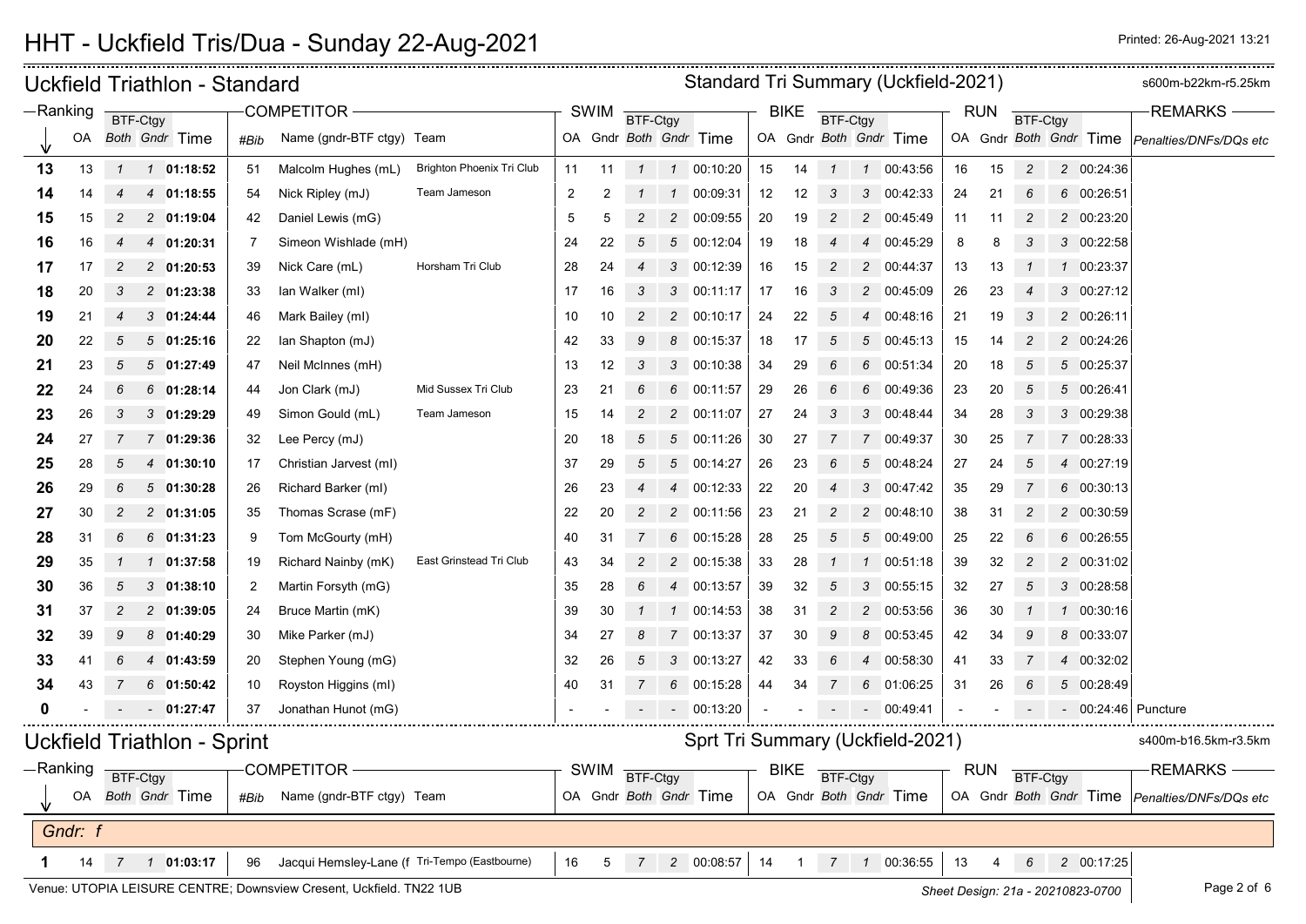| Standard Tri Summary (Uckfield-2021)<br>Uckfield Triathlon - Standard<br>—Ranking<br><b>COMPETITOR</b><br><b>SWIM</b><br><b>BIKE</b><br><b>RUN</b> |         |                             |                               |              |                |                                               |                           |    |    |                |                                  |                        |    | s600m-b22km-r5.25km |              |                |                        |    |            |                 |            |                                               |
|----------------------------------------------------------------------------------------------------------------------------------------------------|---------|-----------------------------|-------------------------------|--------------|----------------|-----------------------------------------------|---------------------------|----|----|----------------|----------------------------------|------------------------|----|---------------------|--------------|----------------|------------------------|----|------------|-----------------|------------|-----------------------------------------------|
|                                                                                                                                                    |         |                             | BTF-Ctgy                      |              |                |                                               |                           |    |    | BTF-Ctgy       |                                  |                        |    |                     | BTF-Ctgy     |                |                        |    |            | <b>BTF-Ctgy</b> |            | <b>REMARKS</b>                                |
|                                                                                                                                                    | OA      |                             | Both Gndr Time                |              | #Bib           | Name (gndr-BTF ctgy) Team                     |                           |    |    |                |                                  | OA Gndr Both Gndr Time |    |                     |              |                | OA Gndr Both Gndr Time |    |            |                 |            | OA Gndr Both Gndr Time Penalties/DNFs/DQs etc |
| 13                                                                                                                                                 | 13      | $\mathcal{I}$               |                               | 1 01:18:52   | 51             | Malcolm Hughes (mL)                           | Brighton Phoenix Tri Club | 11 | 11 | $\mathcal I$   |                                  | 1 00:10:20             | 15 | 14                  | $\mathbf{1}$ | $\mathcal I$   | 00:43:56               | 16 | 15         | $\overline{2}$  | 2 00:24:36 |                                               |
| 14                                                                                                                                                 | 14      |                             |                               | 4 01:18:55   | 54             | Nick Ripley (mJ)                              | Team Jameson              | 2  | 2  |                | $\mathcal I$                     | 00:09:31               | 12 | 12                  | 3            | 3              | 00:42:33               | 24 | 21         | 6               | 6 00:26:51 |                                               |
| 15                                                                                                                                                 | 15      |                             |                               | 2 01:19:04   | 42             | Daniel Lewis (mG)                             |                           | 5  | 5  | 2              | $\overline{2}$                   | 00:09:55               | 20 | 19                  | 2            | $\overline{c}$ | 00:45:49               | 11 | 11         | 2               | 2 00:23:20 |                                               |
| 16                                                                                                                                                 | 16      |                             | 4                             | 01:20:31     | -7             | Simeon Wishlade (mH)                          |                           | 24 | 22 | 5              | $5^{\circ}$                      | 00:12:04               | 19 | 18                  |              | $\overline{4}$ | 00:45:29               | 8  | 8          | 3               | 3 00:22:58 |                                               |
| 17                                                                                                                                                 | 17      |                             |                               | 2 01:20:53   | 39             | Nick Care (mL)                                | Horsham Tri Club          | 28 | 24 |                |                                  | 3 00:12:39             | 16 | 15                  | 2            | $\overline{c}$ | 00:44:37               | 13 | 13         |                 | 1 00:23:37 |                                               |
| 18                                                                                                                                                 | 20      | 3                           |                               | 2 01:23:38   | 33             | lan Walker (ml)                               |                           | 17 | 16 | 3              | 3                                | 00:11:17               | 17 | 16                  | 3            | $\overline{c}$ | 00:45:09               | 26 | 23         |                 | 3 00:27:12 |                                               |
| 19                                                                                                                                                 | 21      | 4                           |                               | 301:24:44    | 46             | Mark Bailey (ml)                              |                           | 10 | 10 | 2              | $\overline{2}$                   | 00:10:17               | 24 | 22                  | 5            | $\overline{4}$ | 00:48:16               | 21 | 19         | 3               | 2 00:26:11 |                                               |
| 20                                                                                                                                                 | 22      | 5                           |                               | 501:25:16    | 22             | lan Shapton (mJ)                              |                           | 42 | 33 | 9              |                                  | 8 00:15:37             | 18 | -17                 | 5            | 5              | 00:45:13               | 15 | 14         | 2               | 2 00:24:26 |                                               |
| 21                                                                                                                                                 | 23      | 5                           | 5                             | 01:27:49     | 47             | Neil McInnes (mH)                             |                           | 13 | 12 | 3              | 3                                | 00:10:38               | 34 | 29                  | 6            | 6              | 00:51:34               | 20 | 18         | 5               | 5 00:25:37 |                                               |
| 22                                                                                                                                                 | 24      | 6                           |                               | $6$ 01:28:14 | 44             | Jon Clark (mJ)                                | Mid Sussex Tri Club       | 23 | 21 | 6              | 6                                | 00:11:57               | 29 | 26                  | 6            | 6              | 00:49:36               | 23 | 20         | 5               | 5 00:26:41 |                                               |
| 23                                                                                                                                                 | 26      | 3                           |                               | $3$ 01:29:29 | 49             | Simon Gould (mL)                              | Team Jameson              | 15 | 14 | 2              | $\overline{2}$                   | 00:11:07               | 27 | 24                  | 3            | 3              | 00:48:44               | 34 | 28         | 3               | 3 00:29:38 |                                               |
| 24                                                                                                                                                 | 27      |                             | $\overline{7}$                | 01:29:36     | 32             | Lee Percy (mJ)                                |                           | 20 | 18 | 5              | $5^{\circ}$                      | 00:11:26               | 30 | 27                  |              | 7              | 00:49:37               | 30 | 25         |                 | 7 00:28:33 |                                               |
| 25                                                                                                                                                 | 28      | 5                           | 4                             | 01:30:10     | 17             | Christian Jarvest (ml)                        |                           | 37 | 29 | 5              | $5^{\circ}$                      | 00:14:27               | 26 | 23                  | 6            | 5              | 00:48:24               | 27 | 24         | 5               | 4 00:27:19 |                                               |
| 26                                                                                                                                                 | 29      | 6                           |                               | 501:30:28    | 26             | Richard Barker (ml)                           |                           | 26 | 23 |                | $\overline{4}$                   | 00:12:33               | 22 | 20                  |              | 3              | 00:47:42               | 35 | 29         |                 | 6 00:30:13 |                                               |
| 27                                                                                                                                                 | 30      | 2                           |                               | $2$ 01:31:05 | 35             | Thomas Scrase (mF)                            |                           | 22 | 20 | 2              | $\overline{2}$                   | 00:11:56               | 23 | 21                  | 2            | $\overline{c}$ | 00:48:10               | 38 | 31         | 2               | 2 00:30:59 |                                               |
| 28                                                                                                                                                 | 31      | 6                           |                               | $6$ 01:31:23 | 9              | Tom McGourty (mH)                             |                           | 40 | 31 |                |                                  | 6 00:15:28             | 28 | 25                  | 5            | 5              | 00:49:00               | 25 | 22         | 6               | 6 00:26:55 |                                               |
| 29                                                                                                                                                 | 35      |                             |                               | 01:37:58     | 19             | Richard Nainby (mK)                           | East Grinstead Tri Club   | 43 | 34 | 2              |                                  | 2 00:15:38             | 33 | 28                  |              |                | 00:51:18               | 39 | 32         | 2               | 2 00:31:02 |                                               |
| 30                                                                                                                                                 | 36      | 5                           | 3                             | 01:38:10     | $\overline{2}$ | Martin Forsyth (mG)                           |                           | 35 | 28 | 6              | $\overline{4}$                   | 00:13:57               | 39 | 32                  | 5            | 3              | 00:55:15               | 32 | 27         | 5               | 3 00:28:58 |                                               |
| 31                                                                                                                                                 | 37      | 2                           |                               | 2 01:39:05   | 24             | Bruce Martin (mK)                             |                           | 39 | 30 |                | $\mathcal I$                     | 00:14:53               | 38 | 31                  | 2            | $\overline{2}$ | 00:53:56               | 36 | 30         |                 | 1 00:30:16 |                                               |
| 32                                                                                                                                                 | 39      | 9                           |                               | 8 01:40:29   | 30             | Mike Parker (mJ)                              |                           | 34 | 27 |                | $\overline{7}$                   | 00:13:37               | 37 | 30                  | 9            | 8              | 00:53:45               | 42 | 34         | 9               | 8 00:33:07 |                                               |
| 33                                                                                                                                                 | 41      | 6                           | 4                             | 01:43:59     | 20             | Stephen Young (mG)                            |                           | 32 | 26 | 5              | 3                                | 00:13:27               | 42 | 33                  | 6            | $\overline{4}$ | 00:58:30               | 41 | 33         | 7               | 4 00:32:02 |                                               |
| 34                                                                                                                                                 | 43      |                             |                               | $6$ 01:50:42 | 10             | Royston Higgins (ml)                          |                           | 40 | 31 |                | 6                                | 00:15:28               | 44 | 34                  |              | 6              | 01:06:25               | 31 | 26         | 6               | 5 00:28:49 |                                               |
|                                                                                                                                                    |         |                             |                               | 01:27:47     | 37             | Jonathan Hunot (mG)                           |                           |    |    |                |                                  | 00:13:20               |    |                     |              |                | 00:49:41               |    |            |                 |            | - 00:24:46 Puncture                           |
|                                                                                                                                                    |         |                             |                               |              |                |                                               |                           |    |    |                | Sprt Tri Summary (Uckfield-2021) |                        |    |                     |              |                | s400m-b16.5km-r3.5km   |    |            |                 |            |                                               |
| -Ranking                                                                                                                                           |         | Uckfield Triathlon - Sprint |                               |              |                | COMPETITOR -                                  |                           |    |    |                |                                  |                        |    | BIKE                |              |                |                        |    | <b>RUN</b> |                 |            | REMARKS —                                     |
|                                                                                                                                                    |         |                             | BTF-Ctgy<br>OA Both Gndr Time |              | #Bib           | Name (gndr-BTF ctgy) Team                     |                           |    |    | SWIM BTF-Ctgy  |                                  | OA Gndr Both Gndr Time |    |                     | BTF-Ctgy     |                | OA Gndr Both Gndr Time |    |            | <b>BTF-Ctgy</b> |            | OA Gndr Both Gndr Time Penalties/DNFs/DQs etc |
|                                                                                                                                                    |         |                             |                               |              |                |                                               |                           |    |    |                |                                  |                        |    |                     |              |                |                        |    |            |                 |            |                                               |
|                                                                                                                                                    | Gndr: f |                             |                               |              |                |                                               |                           |    |    |                |                                  |                        |    |                     |              |                |                        |    |            |                 |            |                                               |
|                                                                                                                                                    | 14      |                             |                               |              | 96             | Jacqui Hemsley-Lane (f Tri-Tempo (Eastbourne) |                           | 16 | 5  | 7 <sup>7</sup> |                                  | 2 00:08:57             | 14 | $\overline{1}$      |              |                | 7  1  00:36:55         | 13 | 4          | 6               | 2 00:17:25 |                                               |

Venue: UTOPIA LEISURE CENTRE; Downsview Cresent, Uckfield. TN22 1UB **Sheet Design: 21a - 20210823-0700** Page 2 of 6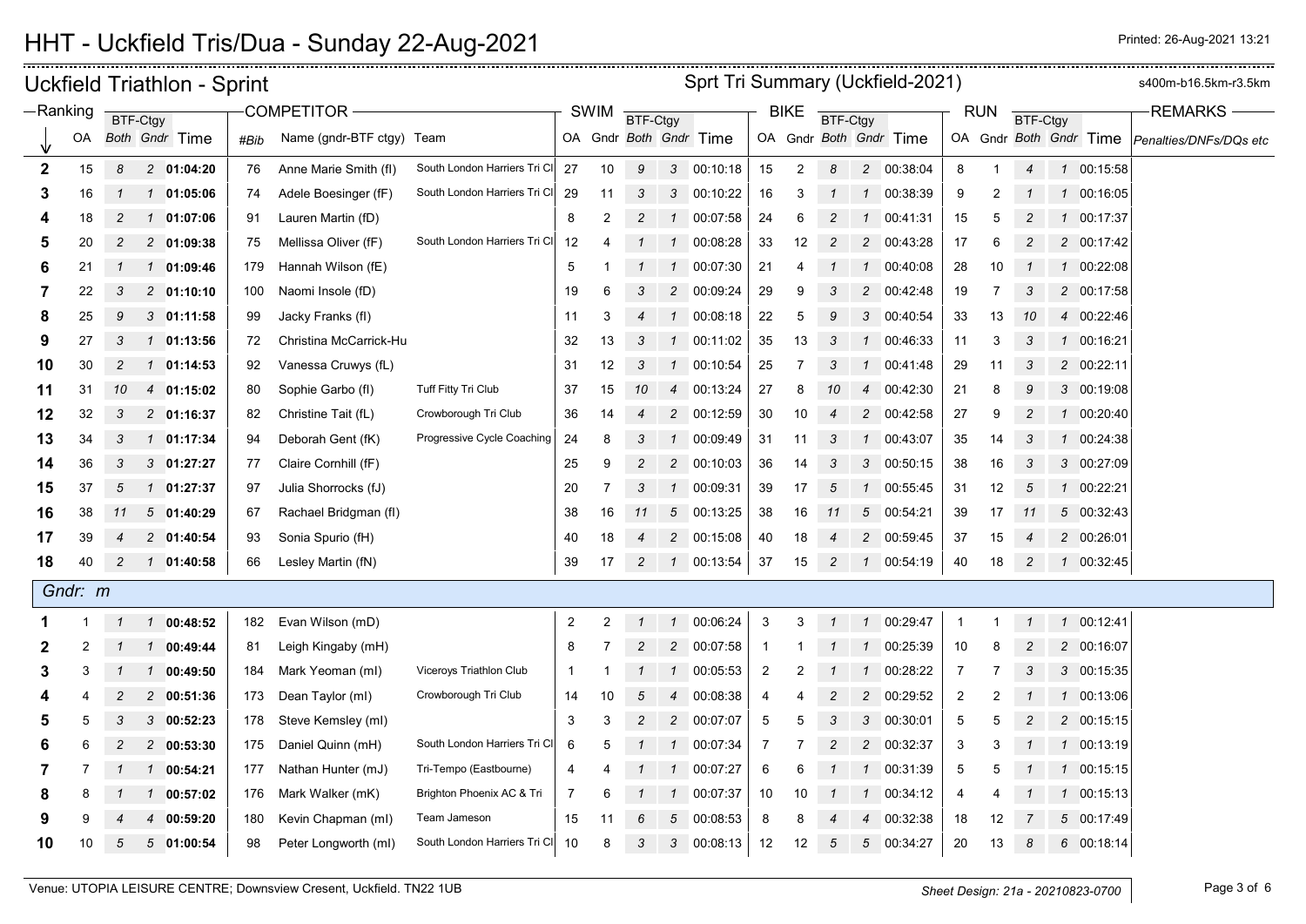<del>. . . . . . . . . . . . . . . .</del>

|              |         |                | <b>Uckfield Triathlon - Sprint</b> | Sprt Tri Summary (Uckfield-2021) |                           |                              |                         |                |                 |                |                        |                |                |                  |                |                        | s400m-b16.5km-r3.5km |            |                 |              |                        |                        |
|--------------|---------|----------------|------------------------------------|----------------------------------|---------------------------|------------------------------|-------------------------|----------------|-----------------|----------------|------------------------|----------------|----------------|------------------|----------------|------------------------|----------------------|------------|-----------------|--------------|------------------------|------------------------|
| -Ranking     |         |                | BTF-Ctgy                           |                                  | COMPETITOR -              |                              |                         | <b>SWIM</b>    | <b>BTF-Ctgy</b> |                |                        |                | <b>BIKE</b>    | BTF-Ctgy         |                |                        |                      | <b>RUN</b> | <b>BTF-Ctgy</b> |              |                        | <b>REMARKS</b>         |
|              | OA      |                | Both Gndr Time                     | #Bib                             | Name (gndr-BTF ctgy) Team |                              |                         |                |                 |                | OA Gndr Both Gndr Time |                |                |                  |                | OA Gndr Both Gndr Time |                      |            |                 |              | OA Gndr Both Gndr Time | Penalties/DNFs/DQs etc |
| $\mathbf{2}$ | 15      | 8              | 2 01:04:20                         | 76                               | Anne Marie Smith (fl)     | South London Harriers Tri CI | 27                      | 10             | 9               | $\mathbf{3}$   | 00:10:18               | 15             | $\overline{2}$ | 8                |                | 2 00:38:04             | 8                    |            | $\overline{4}$  |              | 1 00:15:58             |                        |
| 3            | 16      |                | 01:05:06<br>$\mathcal{I}$          | 74                               | Adele Boesinger (fF)      | South London Harriers Tri CI | 29                      | 11             | 3               | 3              | 00:10:22               | 16             | 3              |                  | $\mathbf{1}$   | 00:38:39               | 9                    | 2          |                 |              | 1 00:16:05             |                        |
| 4            | 18      | $\overline{c}$ | 1 01:07:06                         | 91                               | Lauren Martin (fD)        |                              | 8                       | $\overline{2}$ | $\overline{c}$  | $\mathcal{I}$  | 00:07:58               | 24             | 6              | $\overline{c}$   | $\mathcal I$   | 00:41:31               | 15                   | 5          |                 | $\mathcal I$ | 00:17:37               |                        |
| 5            | 20      | 2              | 2 01:09:38                         | 75                               | Mellissa Oliver (fF)      | South London Harriers Tri CI | 12                      | 4              |                 | $\mathcal{I}$  | 00:08:28               | 33             | 12             | 2                |                | 2 00:43:28             | 17                   | 6          | $\overline{c}$  |              | 2 00:17:42             |                        |
| 6            | 21      |                | 01:09:46<br>$\mathcal{I}$          | 179                              | Hannah Wilson (fE)        |                              | 5                       |                |                 | $\mathcal{I}$  | 00:07:30               | 21             | 4              |                  | $\mathcal I$   | 00:40:08               | 28                   | 10         |                 |              | 1 00:22:08             |                        |
| 7            | 22      | 3              | $2$ 01:10:10                       | 100                              | Naomi Insole (fD)         |                              | 19                      | 6              | 3               | $\overline{c}$ | 00:09:24               | 29             | 9              |                  | $\overline{c}$ | 00:42:48               | 19                   | -7         | 3               |              | 2 00:17:58             |                        |
| 8            | 25      | 9              | 301:11:58                          | 99                               | Jacky Franks (fl)         |                              | 11                      | 3              |                 | $\mathbf{1}$   | 00:08:18               | 22             | 5              | 9                | 3              | 00:40:54               | 33                   | 13         | 10              |              | 4 00:22:46             |                        |
| 9            | 27      | 3              | 01:13:56<br>$\mathcal{I}$          | 72                               | Christina McCarrick-Hu    |                              | 32                      | 13             | 3               | $\mathcal I$   | 00:11:02               | 35             | 13             | 3                | $\mathbf{1}$   | 00:46:33               | 11                   | 3          | 3               |              | 1 00:16:21             |                        |
| 10           | 30      | 2              | 01:14:53<br>$\mathcal{I}$          | 92                               | Vanessa Cruwys (fL)       |                              | 31                      | 12             | 3               | $\mathcal{I}$  | 00:10:54               | 25             |                | 3                |                | 00:41:48               | 29                   | 11         | 3               |              | 2 00:22:11             |                        |
| 11           | 31      | 10             | 4 01:15:02                         | 80                               | Sophie Garbo (fl)         | Tuff Fitty Tri Club          | 37                      | 15             | 10              | $\overline{4}$ | 00:13:24               | 27             | 8              | 10               | $\overline{4}$ | 00:42:30               | 21                   | 8          | 9               |              | 3 00:19:08             |                        |
| 12           | 32      | 3              | 2 01:16:37                         | 82                               | Christine Tait (fL)       | Crowborough Tri Club         | 36                      | 14             |                 | $\overline{c}$ | 00:12:59               | 30             | 10             | $\boldsymbol{4}$ | $\overline{c}$ | 00:42:58               | 27                   | 9          | $\overline{c}$  |              | 1 00:20:40             |                        |
| 13           | 34      | 3              | 01:17:34<br>$\mathcal{I}$          | 94                               | Deborah Gent (fK)         | Progressive Cycle Coaching   | 24                      | 8              |                 | $\mathbf{1}$   | 00:09:49               | 31             | 11             | 3                |                | 00:43:07               | 35                   | 14         | 3               |              | 1 00:24:38             |                        |
| 14           | 36      | 3              | 3 01:27:27                         | 77                               | Claire Cornhill (fF)      |                              | 25                      | 9              | $\overline{c}$  | $\overline{c}$ | 00:10:03               | 36             | 14             | 3                | 3              | 00:50:15               | 38                   | 16         | 3               |              | 3 00:27:09             |                        |
| 15           | 37      | 5              | 01:27:37<br>$\vert$                | 97                               | Julia Shorrocks (fJ)      |                              | 20                      | 7              | 3               | $\mathcal{I}$  | 00:09:31               | 39             | 17             | 5                |                | 00:55:45               | 31                   | 12         | 5               |              | 1 00:22:21             |                        |
| 16           | 38      | 11             | 501:40:29                          | 67                               | Rachael Bridgman (fl)     |                              | 38                      | 16             | 11              | $\sqrt{5}$     | 00:13:25               | 38             | 16             | 11               | 5              | 00:54:21               | 39                   | 17         | 11              |              | 5 00:32:43             |                        |
| 17           | 39      | $\overline{4}$ | 2 01:40:54                         | 93                               | Sonia Spurio (fH)         |                              | 40                      | 18             | 4               | $\overline{c}$ | 00:15:08               | 40             | 18             | $\overline{4}$   |                | 2 00:59:45             | 37                   | 15         | 4               |              | 2 00:26:01             |                        |
| 18           | 40      | $\overline{c}$ | 1 01:40:58                         | 66                               | Lesley Martin (fN)        |                              | 39                      | 17             | $\overline{c}$  |                | 1 00:13:54             | 37             | 15             | $\overline{2}$   |                | 1 00:54:19             | 40                   | 18         | $\overline{c}$  |              | 1 00:32:45             |                        |
|              | Gndr: m |                |                                    |                                  |                           |                              |                         |                |                 |                |                        |                |                |                  |                |                        |                      |            |                 |              |                        |                        |
| 1            |         | -1             | 00:48:52<br>$\mathcal{I}$          | 182                              | Evan Wilson (mD)          |                              | $\overline{\mathbf{c}}$ | 2              | $\mathcal I$    | $\mathcal{I}$  | 00:06:24               | $\sqrt{3}$     | 3              |                  | $\mathcal I$   | 00:29:47               | $\mathbf{1}$         |            | $\mathcal I$    |              | 1 00:12:41             |                        |
| 2            | 2       |                | 00:49:44<br>$\mathcal{I}$          | 81                               | Leigh Kingaby (mH)        |                              | 8                       |                | $\overline{c}$  | $\overline{2}$ | 00:07:58               | $\mathbf{1}$   |                |                  | $\mathcal{I}$  | 00:25:39               | 10                   | 8          | $\overline{c}$  |              | 2 00:16:07             |                        |
| 3            | 3       |                | 00:49:50<br>$\mathcal{I}$          | 184                              | Mark Yeoman (ml)          | Viceroys Triathlon Club      | $\mathbf{1}$            |                |                 | $\mathcal{I}$  | 00:05:53               | $\overline{2}$ | 2              |                  |                | 00:28:22               | $\overline{7}$       | 7          | 3               |              | 3 00:15:35             |                        |
|              |         | 2              | 00:51:36<br>$\overline{c}$         | 173                              | Dean Taylor (ml)          | Crowborough Tri Club         | 14                      | 10             | 5               | $\overline{4}$ | 00:08:38               | 4              |                | 2                | 2              | 00:29:52               | $\overline{c}$       | 2          |                 |              | 1 00:13:06             |                        |
| 5            | 5       | 3              | 300:52:23                          | 178                              | Steve Kemsley (ml)        |                              | 3                       | 3              | $\overline{c}$  | $\overline{c}$ | 00:07:07               | 5              | 5              | 3                | 3              | 00:30:01               | 5                    | 5          | 2               |              | 2 00:15:15             |                        |
| 6            | 6       | 2              | 2 00:53:30                         | 175                              | Daniel Quinn (mH)         | South London Harriers Tri CI | 6                       | 5              |                 | $\mathcal{I}$  | 00:07:34               | 7              |                | $\overline{c}$   | $\overline{c}$ | 00:32:37               | 3                    | 3          |                 |              | 1 00:13:19             |                        |
| 7            |         |                | 00:54:21<br>1                      | 177                              | Nathan Hunter (mJ)        | Tri-Tempo (Eastbourne)       | 4                       | 4              |                 | $\mathcal I$   | 00:07:27               | 6              | 6              |                  | $\mathcal I$   | 00:31:39               | 5                    | 5          |                 |              | 1 00:15:15             |                        |
| 8            |         |                | 00:57:02<br>1                      | 176                              | Mark Walker (mK)          | Brighton Phoenix AC & Tri    | 7                       |                |                 | $\mathcal I$   | 00:07:37               | 10             | 10             |                  |                | 00:34:12               | 4                    |            |                 |              | 1 00:15:13             |                        |
| 9            | 9       |                | 00:59:20<br>4                      | 180                              | Kevin Chapman (ml)        | Team Jameson                 | 15                      | 11             | 6               | 5              | 00:08:53               | 8              | 8              |                  |                | 00:32:38               | 18                   | 12         |                 |              | 5 00:17:49             |                        |
| 10           | 10      | 5              | 5<br>01:00:54                      | 98                               | Peter Longworth (ml)      | South London Harriers Tri CI | 10                      | 8              | 3               | 3              | 00:08:13               | 12             | 12             | 5                | 5              | 00:34:27               | 20                   | 13         | 8               |              | 6 00:18:14             |                        |

. . . . . . . . . . . . . . . . . . . .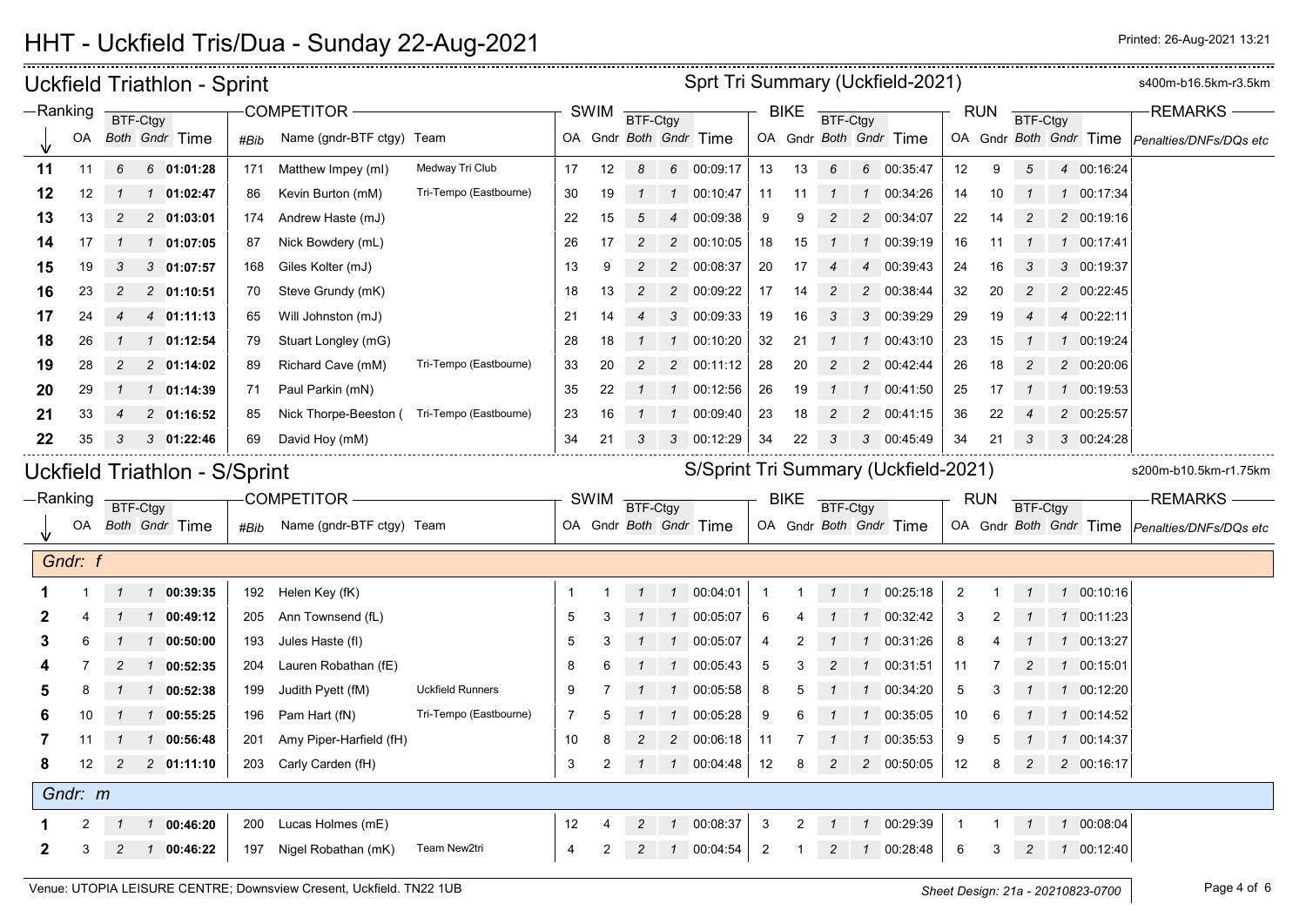| Sprt Tri Summary (Uckfield-2021)<br><b>Uckfield Triathlon - Sprint</b> |                               |                |                |                               |      |                           |                         |    |             |                |                |                        |                | s400m-b16.5km-r3.5km |                |                |                                      |                |            |                |               |                        |                                               |
|------------------------------------------------------------------------|-------------------------------|----------------|----------------|-------------------------------|------|---------------------------|-------------------------|----|-------------|----------------|----------------|------------------------|----------------|----------------------|----------------|----------------|--------------------------------------|----------------|------------|----------------|---------------|------------------------|-----------------------------------------------|
|                                                                        | $-Ranking$<br><b>BTF-Ctgy</b> |                | COMPETITOR-    |                               |      | SWIM                      | BTF-Ctgy                |    |             |                | <b>BIKE</b>    | <b>BTF-Ctgy</b>        |                |                      |                | <b>RUN</b>     | <b>BTF-Ctgy</b>                      |                |            | <b>REMARKS</b> |               |                        |                                               |
|                                                                        | OA                            |                |                | Both Gndr Time                | #Bib | Name (gndr-BTF ctgy) Team |                         |    |             |                |                | OA Gndr Both Gndr Time |                |                      |                |                | OA Gndr Both Gndr Time               |                |            |                |               | OA Gndr Both Gndr Time | Penalties/DNFs/DQs etc                        |
| 11                                                                     | 11                            | 6              |                | 6 01:01:28                    | 171  | Matthew Impey (ml)        | Medway Tri Club         | 17 | 12          | 8              |                | 6 00:09:17             | 13             | 13                   | 6              |                | 6 00:35:47                           | 12             | 9          | 5              |               | 4 00:16:24             |                                               |
| 12                                                                     | 12                            | $\mathcal{I}$  |                | $1 \quad 01:02:47$            | 86   | Kevin Burton (mM)         | Tri-Tempo (Eastbourne)  | 30 | 19          | $\mathcal{I}$  | $\overline{1}$ | 00:10:47               | 11             | 11                   |                | $\mathcal{I}$  | 00:34:26                             | 14             | 10         | $\mathcal I$   |               | 1 00:17:34             |                                               |
| 13                                                                     | 13                            | $\overline{c}$ |                | 2 01:03:01                    | 174  | Andrew Haste (mJ)         |                         | 22 | 15          | 5              | $\overline{4}$ | 00:09:38               | 9              | 9                    |                | $\overline{c}$ | 00:34:07                             | 22             | 14         | $\overline{c}$ |               | 2 00:19:16             |                                               |
| 14                                                                     | 17                            | $\mathcal{I}$  |                | 1 01:07:05                    | 87   | Nick Bowdery (mL)         |                         | 26 | 17          | $\overline{a}$ |                | 2 00:10:05             | 18             | 15                   | $\mathcal I$   |                | 1 00:39:19                           | 16             | 11         | $\mathcal I$   |               | 1 00:17:41             |                                               |
| 15                                                                     | 19                            | 3              |                | 301:07:57                     | 168  | Giles Kolter (mJ)         |                         | 13 | 9           | $\overline{c}$ |                | 2 00:08:37             | 20             | 17                   |                | $\overline{4}$ | 00:39:43                             | 24             | 16         | 3              |               | 3 00:19:37             |                                               |
| 16                                                                     | 23                            | 2              |                | 2 01:10:51                    | 70   | Steve Grundy (mK)         |                         | 18 | 13          | $\overline{c}$ | $\overline{2}$ | 00:09:22               | 17             | 14                   | $\overline{c}$ | $\overline{c}$ | 00:38:44                             | 32             | 20         | $\overline{c}$ |               | 2 00:22:45             |                                               |
| 17                                                                     | 24                            | 4              |                | 4 01:11:13                    | 65   | Will Johnston (mJ)        |                         | 21 | 14          |                |                | 3 00:09:33             | 19             | 16                   | 3              | 3              | 00:39:29                             | 29             | 19         |                |               | 4 00:22:11             |                                               |
| 18                                                                     | 26                            |                | $\mathcal{I}$  | 01:12:54                      | 79   | Stuart Longley (mG)       |                         | 28 | 18          |                | $\mathbf{1}$   | 00:10:20               | 32             | 21                   |                |                | 00:43:10                             | 23             | 15         |                | $\mathcal{I}$ | 00:19:24               |                                               |
| 19                                                                     | 28                            | $\overline{c}$ |                | 2 01:14:02                    | 89   | Richard Cave (mM)         | Tri-Tempo (Eastbourne)  | 33 | 20          | $\overline{c}$ | $\overline{2}$ | 00:11:12               | 28             | 20                   | $\mathcal{P}$  | $\overline{c}$ | 00:42:44                             | 26             | 18         | 2              |               | 2 00:20:06             |                                               |
| 20                                                                     | 29                            | $\mathcal{I}$  |                | 1 01:14:39                    | 71   | Paul Parkin (mN)          |                         | 35 | 22          |                |                | 1 00:12:56             | 26             | 19                   |                | $\mathbf{1}$   | 00:41:50                             | 25             | 17         |                |               | 1 00:19:53             |                                               |
| 21                                                                     | 33                            | 4              |                | 2 01:16:52                    | 85   | Nick Thorpe-Beeston (     | Tri-Tempo (Eastbourne)  | 23 | 16          |                | $\mathcal I$   | 00:09:40               | 23             | 18                   | 2              | $\overline{c}$ | 00:41:15                             | 36             | 22         |                |               | 2 00:25:57             |                                               |
| 22                                                                     | 35                            | 3              |                | $3$ 01:22:46                  | 69   | David Hoy (mM)            |                         | 34 | 21          | 3              | 3              | 00:12:29               | 34             | 22                   |                | 3              | 00:45:49                             | 34             | 21         | 3              |               | 3 00:24:28             |                                               |
|                                                                        |                               |                |                | Uckfield Triathlon - S/Sprint |      |                           |                         |    |             |                |                |                        |                |                      |                |                | S/Sprint Tri Summary (Uckfield-2021) |                |            |                |               |                        | s200m-b10.5km-r1.75km                         |
| $-Ranking$                                                             |                               |                | BTF-Ctgy       |                               |      | <b>COMPETITOR</b>         |                         |    | <b>SWIM</b> | BTF-Ctgy       |                |                        |                | <b>BIKE</b>          | BTF-Ctgy       |                |                                      |                | <b>RUN</b> | BTF-Ctgy       |               |                        | <b>REMARKS</b>                                |
|                                                                        | OA                            |                |                | Both Gndr Time                | #Bib | Name (gndr-BTF ctgy) Team |                         |    |             |                |                | OA Gndr Both Gndr Time |                |                      |                |                | OA Gndr Both Gndr Time               |                |            |                |               |                        | OA Gndr Both Gndr Time Penalties/DNFs/DQs etc |
|                                                                        | Gndr: f                       |                |                |                               |      |                           |                         |    |             |                |                |                        |                |                      |                |                |                                      |                |            |                |               |                        |                                               |
|                                                                        |                               |                |                | 1 1 00:39:35                  | 192  | Helen Key (fK)            |                         |    |             |                |                | 1 00:04:01             | -1             |                      |                |                | 1 00:25:18                           | $\overline{2}$ |            |                |               | 1 00:10:16             |                                               |
| 2                                                                      |                               |                | $\mathcal{I}$  | 00:49:12                      | 205  | Ann Townsend (fL)         |                         | 5  | 3           |                | $\mathcal I$   | 00:05:07               | 6              |                      |                | $\mathcal{I}$  | 00:32:42                             | 3              | 2          |                | $\mathcal{I}$ | 00:11:23               |                                               |
| 3                                                                      | 6                             | $\mathcal I$   |                | 1 00:50:00                    | 193  | Jules Haste (fl)          |                         | 5  | 3           |                | $\overline{1}$ | 00:05:07               | 4              |                      |                | $\mathcal{I}$  | 00:31:26                             | 8              |            |                |               | 1 00:13:27             |                                               |
|                                                                        |                               | 2              |                | 1 00:52:35                    | 204  | Lauren Robathan (fE)      |                         | 8  | 6           |                | $\overline{1}$ | 00:05:43               | 5              | 3                    |                | $\mathcal{I}$  | 00:31:51                             | 11             |            |                |               | 1 00:15:01             |                                               |
| 5                                                                      | 8                             | $\mathcal{I}$  | $\mathcal{I}$  | 00:52:38                      | 199  | Judith Pyett (fM)         | <b>Uckfield Runners</b> | 9  |             |                | $\mathcal{I}$  | 00:05:58               | 8              | 5                    |                | $\mathcal{I}$  | 00:34:20                             | $\overline{5}$ | 3          |                |               | 1 00:12:20             |                                               |
| 6                                                                      | 10                            | $\mathcal{I}$  | $\overline{1}$ | 00:55:25                      | 196  | Pam Hart (fN)             | Tri-Tempo (Eastbourne)  | 7  | 5           |                | $\overline{1}$ | 00:05:28               | 9              | 6                    |                | $\mathcal{I}$  | 00:35:05                             | 10             | 6          |                |               | 1 00:14:52             |                                               |
| 7                                                                      | 11                            |                |                | 1 00:56:48                    | 201  | Amy Piper-Harfield (fH)   |                         | 10 | 8           |                | $\overline{2}$ | 00:06:18               | 11             |                      |                | $\mathbf{1}$   | 00:35:53                             | 9              | 5          |                |               | 1 00:14:37             |                                               |
| 8                                                                      | 12 <sup>°</sup>               | $\overline{c}$ |                | $2$ 01:11:10                  | 203  | Carly Carden (fH)         |                         | 3  | 2           | $\mathcal{I}$  |                | 1 00:04:48             | 12             | 8                    | 2              |                | 2 00:50:05                           | 12             | 8          | $\overline{c}$ |               | 2 00:16:17             |                                               |
|                                                                        | Gndr: m                       |                |                |                               |      |                           |                         |    |             |                |                |                        |                |                      |                |                |                                      |                |            |                |               |                        |                                               |
|                                                                        |                               |                |                | 100:46:20                     | 200  | Lucas Holmes (mE)         |                         | 12 |             | $\overline{c}$ | $\mathbf{1}$   | 00:08:37               | 3              | 2                    |                | $\mathcal{I}$  | 00:29:39                             |                |            |                |               | 1 00:08:04             |                                               |
| 2                                                                      | 3                             | $\overline{c}$ |                | $1$ 00:46:22                  | 197  | Nigel Robathan (mK)       | Team New2tri            | 4  | 2           | $\overline{c}$ | $\mathbf{1}$   | 00:04:54               | $\overline{2}$ |                      | $\overline{c}$ |                | 1 00:28:48                           | 6              | 3          | $\overline{c}$ |               | 1 00:12:40             |                                               |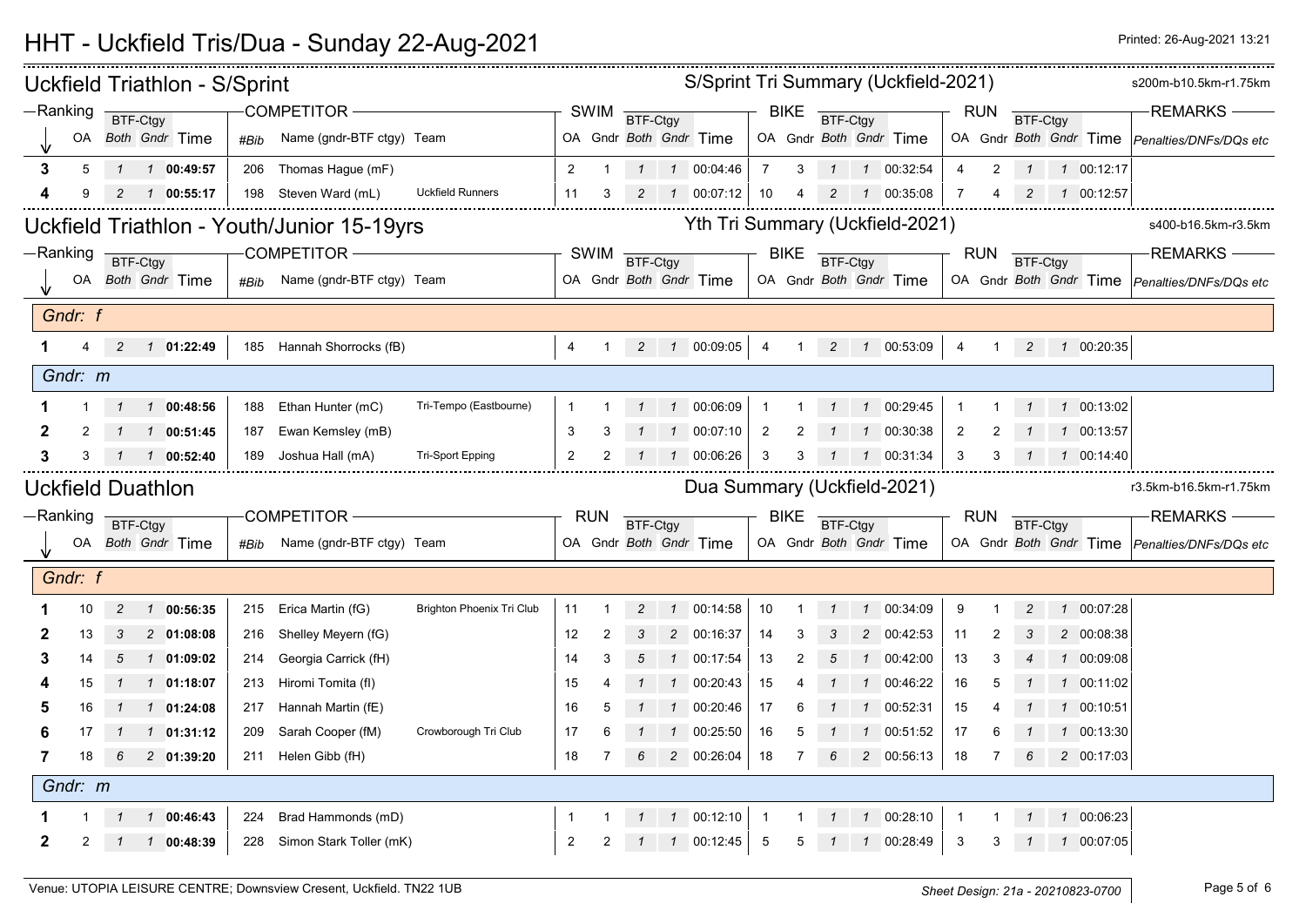|   |            |             |          | <b>Uckfield Triathlon - S/Sprint</b> |      |                                            | S/Sprint Tri Summary (Uckfield-2021) |                |                |               |              |                             |                |                |              |                |                                 |                |                |          | s200m-b10.5km-r1.75km |                |                                               |
|---|------------|-------------|----------|--------------------------------------|------|--------------------------------------------|--------------------------------------|----------------|----------------|---------------|--------------|-----------------------------|----------------|----------------|--------------|----------------|---------------------------------|----------------|----------------|----------|-----------------------|----------------|-----------------------------------------------|
|   | $-Ranking$ |             | BTF-Ctgy |                                      |      | COMPETITOR -                               |                                      |                |                | SWIM BTF-Ctgy |              |                             |                | <b>BIKE</b>    | BTF-Ctgy     |                |                                 |                | RUN            |          | BTF-Ctgy              |                | <b>REMARKS</b>                                |
|   | OA         |             |          | Both Gndr Time                       | #Bib | Name (gndr-BTF ctgy) Team                  |                                      |                |                |               |              | OA Gndr Both Gndr Time      |                |                |              |                | OA Gndr Both Gndr Time          |                |                |          |                       |                | OA Gndr Both Gndr Time Penalties/DNFs/DQs etc |
| 3 | 5          |             |          | 1 1 00:49:57                         | 206  | Thomas Hague (mF)                          |                                      | 2              | $\overline{1}$ |               |              | $1 \quad 1 \quad 00:04:46$  | $\overline{7}$ | $\mathbf{3}$   |              |                | $1 \quad 1 \quad 00:32:54$      | $\overline{4}$ | $\overline{2}$ |          |                       | 1 1 00:12:17   |                                               |
|   |            |             |          | $2 \t1 \t00:55:17$                   |      | 198 Steven Ward (mL)                       | <b>Uckfield Runners</b>              | 11             | 3              |               |              | 100:07:12                   | 10             | $\overline{4}$ |              |                | 2 1 00:35:08                    | 7              | 4              | 2        |                       | 100:12:57      |                                               |
|   |            |             |          |                                      |      | Uckfield Triathlon - Youth/Junior 15-19yrs |                                      |                |                |               |              |                             |                |                |              |                | Yth Tri Summary (Uckfield-2021) |                |                |          |                       |                | s400-b16.5km-r3.5km                           |
|   | —Ranking   |             | BTF-Ctgy |                                      |      | <b>COMPETITOR -</b>                        |                                      |                |                | SWIM BTF-Ctgy |              |                             |                | <b>BIKE</b>    | BTF-Ctgy     |                |                                 |                | <b>RUN</b>     | BTF-Ctgy |                       |                | <b>REMARKS-</b>                               |
|   |            |             |          | OA Both Gndr Time                    | #Bib | Name (gndr-BTF ctgy) Team                  |                                      |                |                |               |              | OA Gndr Both Gndr Time      |                |                |              |                | OA Gndr Both Gndr Time          |                |                |          |                       |                | OA Gndr Both Gndr Time Penalties/DNFs/DQs etc |
|   | Gndr: f    |             |          |                                      |      |                                            |                                      |                |                |               |              |                             |                |                |              |                |                                 |                |                |          |                       |                |                                               |
|   | 4          |             |          | 2  1  01:22:49                       |      | 185 Hannah Shorrocks (fB)                  |                                      | $\overline{4}$ | $\overline{1}$ |               |              | 2  1  00:09:05              | $\overline{4}$ | $\overline{1}$ |              |                | 2  1  00:53:09                  | $\overline{4}$ | $\mathbf{1}$   |          |                       | 2  1  00:20:35 |                                               |
|   | Gndr: m    |             |          |                                      |      |                                            |                                      |                |                |               |              |                             |                |                |              |                |                                 |                |                |          |                       |                |                                               |
|   |            |             |          | 1 1 00:48:56                         | 188  | Ethan Hunter (mC)                          | Tri-Tempo (Eastbourne)               |                |                |               |              | 1 00:06:09                  | $\overline{1}$ |                |              |                | 1 00:29:45                      | $\mathbf 1$    |                |          |                       | 1 00:13:02     |                                               |
| 2 | 2          |             |          | 1 00:51:45                           | 187  | Ewan Kemsley (mB)                          |                                      | 3              |                |               |              | 00:07:10                    | $\overline{2}$ | 2              |              | $\mathcal{I}$  | 00:30:38                        | $\overline{2}$ | 2              |          |                       | 1 00:13:57     |                                               |
|   |            |             |          | 1 00:52:40                           | 189  | Joshua Hall (mA)                           | <b>Tri-Sport Epping</b>              | 2              |                |               |              | 00:06:26                    | 3              |                |              |                | 1 00:31:34                      | 3              | 3              |          |                       | 1 00:14:40     |                                               |
|   |            |             |          | <b>Uckfield Duathlon</b>             |      |                                            |                                      |                |                |               |              | Dua Summary (Uckfield-2021) |                |                |              |                |                                 |                |                |          |                       |                |                                               |
|   |            |             |          |                                      |      |                                            |                                      |                |                |               |              |                             |                |                |              |                |                                 |                |                |          |                       |                | r3.5km-b16.5km-r1.75km                        |
|   | —Ranking   |             |          |                                      |      | <b>COMPETITOR</b>                          |                                      |                | <b>RUN</b>     |               |              |                             |                | <b>BIKE</b>    |              |                |                                 |                | <b>RUN</b>     |          |                       |                | <b>REMARKS</b>                                |
|   |            |             | BTF-Ctgy | OA Both Gndr Time                    | #Bib | Name (gndr-BTF ctgy) Team                  |                                      |                |                | BTF-Ctgy      |              | OA Gndr Both Gndr Time      |                |                | BTF-Ctgy     |                | OA Gndr Both Gndr Time          |                |                | BTF-Ctgy |                       |                | OA Gndr Both Gndr Time Penalties/DNFs/DQs etc |
|   | Gndr: f    |             |          |                                      |      |                                            |                                      |                |                |               |              |                             |                |                |              |                |                                 |                |                |          |                       |                |                                               |
|   | 10         | 2           |          | 1 00:56:35                           |      | 215 Erica Martin (fG)                      | <b>Brighton Phoenix Tri Club</b>     | 11             |                |               |              | 1 00:14:58                  | 10             |                |              |                | 1 00:34:09                      | 9              |                |          |                       | 1 00:07:28     |                                               |
|   | 13         | 3           |          | 2 01:08:08                           | 216  | Shelley Meyern (fG)                        |                                      | 12             | 2              | 3             |              | 2 00:16:37                  | 14             | 3              |              | $\overline{2}$ | 00:42:53                        | 11             | 2              |          |                       | 2 00:08:38     |                                               |
| 3 | 14         | $5^{\circ}$ |          | $1 \quad 01:09:02$                   | 214  | Georgia Carrick (fH)                       |                                      | 14             | 3              | 5             |              | 1 00:17:54                  | 13             | 2              | 5            | $\mathcal{I}$  | 00:42:00                        | 13             | 3              |          |                       | 1 00:09:08     |                                               |
|   | 15         |             |          | 1 01:18:07                           | 213  | Hiromi Tomita (fl)                         |                                      | 15             |                |               |              | 1 00:20:43                  | 15             |                |              | $\mathcal{I}$  | 00:46:22                        | 16             |                |          |                       | 1 00:11:02     |                                               |
|   | 16         |             |          | $1$ 01:24:08                         |      | 217 Hannah Martin (fE)                     |                                      | 16             | 5              |               | $\mathcal I$ | 00:20:46                    | 17             |                |              | $\mathcal I$   | 00:52:31                        | 15             |                |          |                       | 1 00:10:51     |                                               |
|   |            |             |          | $1$ 01:31:12                         | 209  | Sarah Cooper (fM)                          | Crowborough Tri Club                 | 17             |                |               |              | 00:25:50                    | 16             |                |              |                | 00:51:52                        | 17             |                |          |                       | 1 00:13:30     |                                               |
|   | 18         | 6           |          | 2 01:39:20                           |      | 211 Helen Gibb (fH)                        |                                      | 18             |                |               |              | 2 00:26:04                  | 18             |                |              |                | 2 00:56:13                      | 18             |                |          |                       | 2 00:17:03     |                                               |
|   | Gndr: m    |             |          |                                      |      |                                            |                                      |                |                |               |              |                             |                |                |              |                |                                 |                |                |          |                       |                |                                               |
|   |            |             |          | 1 00:46:43                           | 224  | Brad Hammonds (mD)                         |                                      |                |                |               |              | 1 00:12:10                  | $\overline{1}$ |                | $\mathbf{1}$ |                | 100:28:10                       |                |                |          |                       | 1 00:06:23     |                                               |